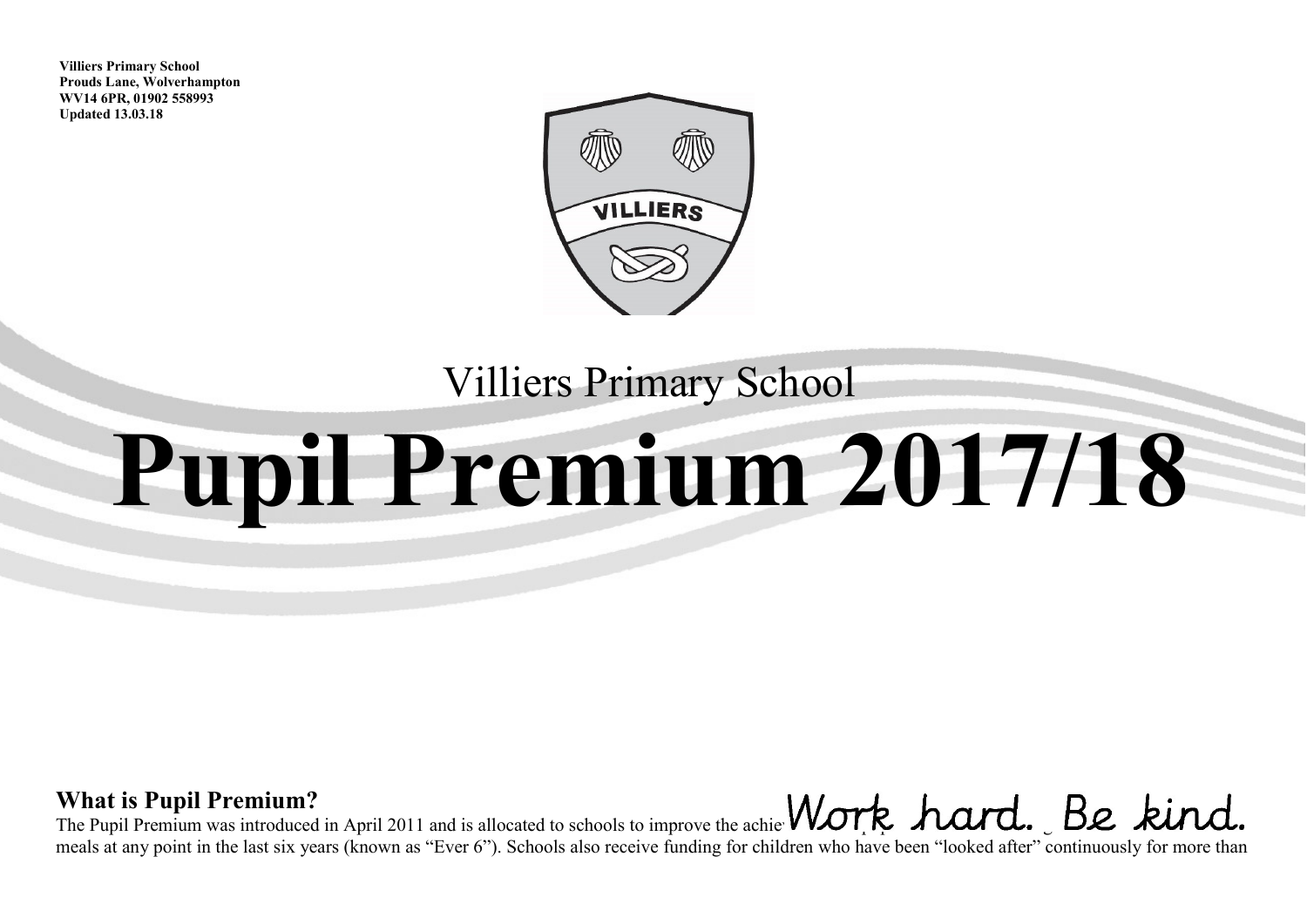**Villiers Primary School Prouds Lane, Wolverhampton WV14 6PR, 01902 558993 Updated 13.03.18**



## Villiers Primary School

# **Pupil Premium 2017/18**

#### **What is Pupil Premium?**  The Pupil Premium was introduced in April 2011 and is allocated to schools to improve the achievement of pupils who have been registered for  $\mathcal{L}$ meals at any point in the last six years (known as "Ever 6"). Schools also receive funding for children who have been "looked after" continuously for more than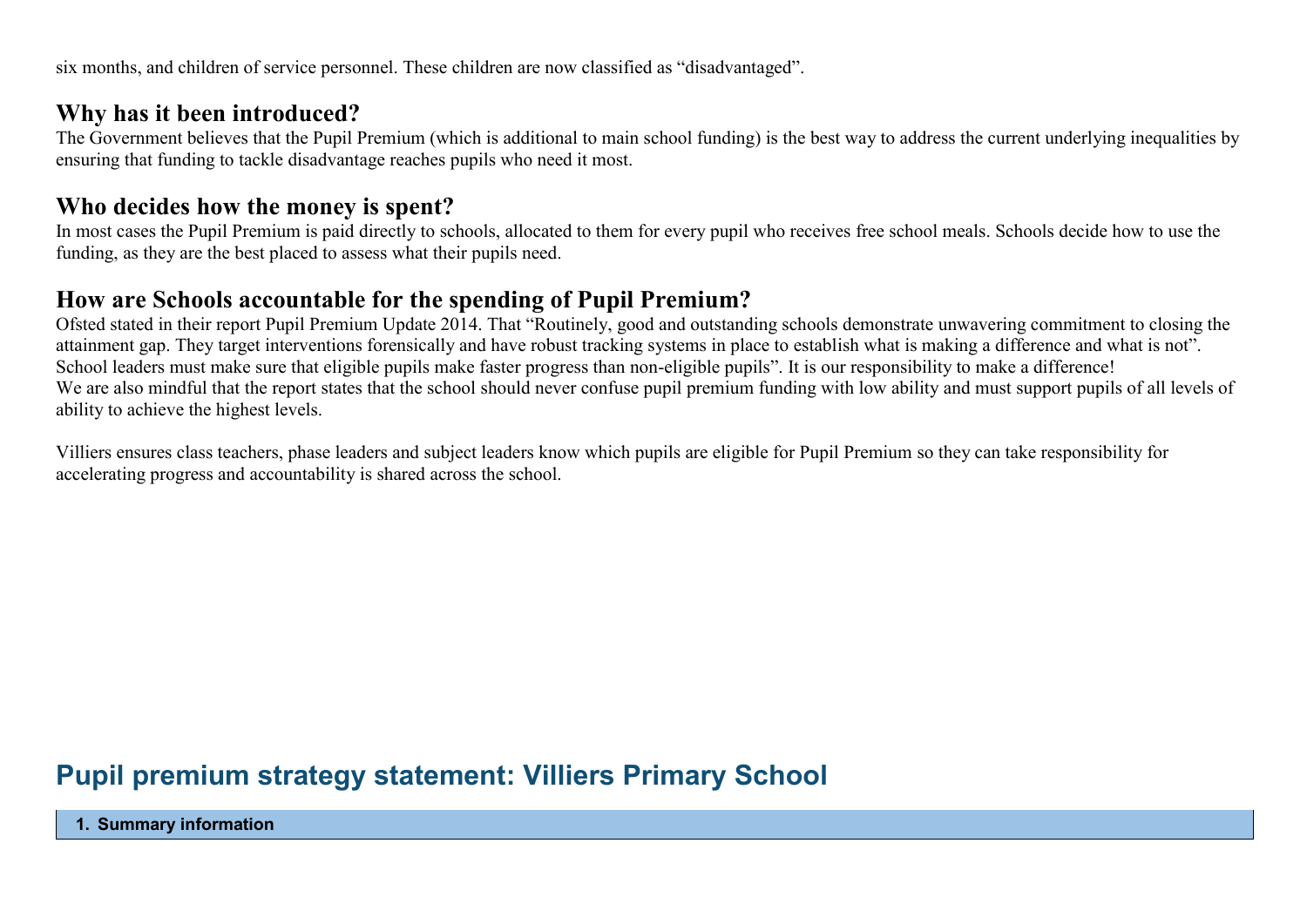six months, and children of service personnel. These children are now classified as "disadvantaged".

#### **Why has it been introduced?**

The Government believes that the Pupil Premium (which is additional to main school funding) is the best way to address the current underlying inequalities by ensuring that funding to tackle disadvantage reaches pupils who need it most.

#### **Who decides how the money is spent?**

In most cases the Pupil Premium is paid directly to schools, allocated to them for every pupil who receives free school meals. Schools decide how to use the funding, as they are the best placed to assess what their pupils need.

#### **How are Schools accountable for the spending of Pupil Premium?**

Ofsted stated in their report Pupil Premium Update 2014. That "Routinely, good and outstanding schools demonstrate unwavering commitment to closing the attainment gap. They target interventions forensically and have robust tracking systems in place to establish what is making a difference and what is not". School leaders must make sure that eligible pupils make faster progress than non-eligible pupils". It is our responsibility to make a difference! We are also mindful that the report states that the school should never confuse pupil premium funding with low ability and must support pupils of all levels of ability to achieve the highest levels.

Villiers ensures class teachers, phase leaders and subject leaders know which pupils are eligible for Pupil Premium so they can take responsibility for accelerating progress and accountability is shared across the school.

### **Pupil premium strategy statement: Villiers Primary School**

**1. Summary information**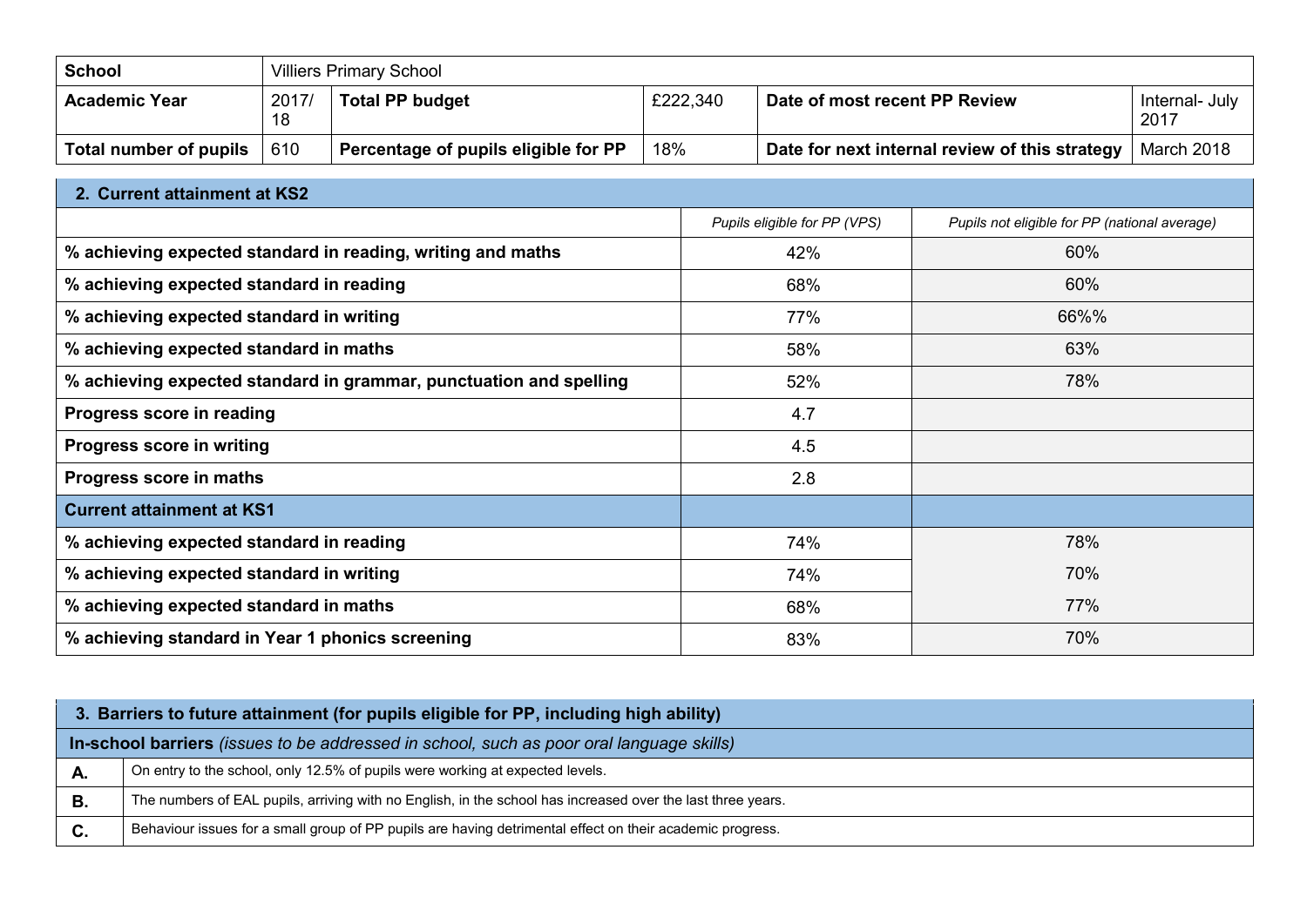| ∣ School               |             | <b>Villiers Primary School</b>       |          |                                                |                        |  |
|------------------------|-------------|--------------------------------------|----------|------------------------------------------------|------------------------|--|
| Academic Year          | 2017/<br>18 | <b>Total PP budget</b>               | £222,340 | Date of most recent PP Review                  | Internal- July<br>2017 |  |
| Total number of pupils | 610         | Percentage of pupils eligible for PP | 18%      | Date for next internal review of this strategy | March 2018             |  |

| 2. Current attainment at KS2                                       |                              |                                               |
|--------------------------------------------------------------------|------------------------------|-----------------------------------------------|
|                                                                    | Pupils eligible for PP (VPS) | Pupils not eligible for PP (national average) |
| % achieving expected standard in reading, writing and maths        | 42%                          | 60%                                           |
| % achieving expected standard in reading                           | 68%                          | 60%                                           |
| % achieving expected standard in writing                           | 77%                          | 66%%                                          |
| % achieving expected standard in maths                             | 58%                          | 63%                                           |
| % achieving expected standard in grammar, punctuation and spelling | 52%                          | 78%                                           |
| Progress score in reading                                          | 4.7                          |                                               |
| Progress score in writing                                          | 4.5                          |                                               |
| Progress score in maths                                            | 2.8                          |                                               |
| <b>Current attainment at KS1</b>                                   |                              |                                               |
| % achieving expected standard in reading                           | 74%                          | 78%                                           |
| % achieving expected standard in writing                           | 74%                          | 70%                                           |
| % achieving expected standard in maths                             | 68%                          | 77%                                           |
| % achieving standard in Year 1 phonics screening                   | 83%                          | 70%                                           |

|    | 3. Barriers to future attainment (for pupils eligible for PP, including high ability)                       |
|----|-------------------------------------------------------------------------------------------------------------|
|    | In-school barriers (issues to be addressed in school, such as poor oral language skills)                    |
| А. | On entry to the school, only 12.5% of pupils were working at expected levels.                               |
| В. | The numbers of EAL pupils, arriving with no English, in the school has increased over the last three years. |
| C. | Behaviour issues for a small group of PP pupils are having detrimental effect on their academic progress.   |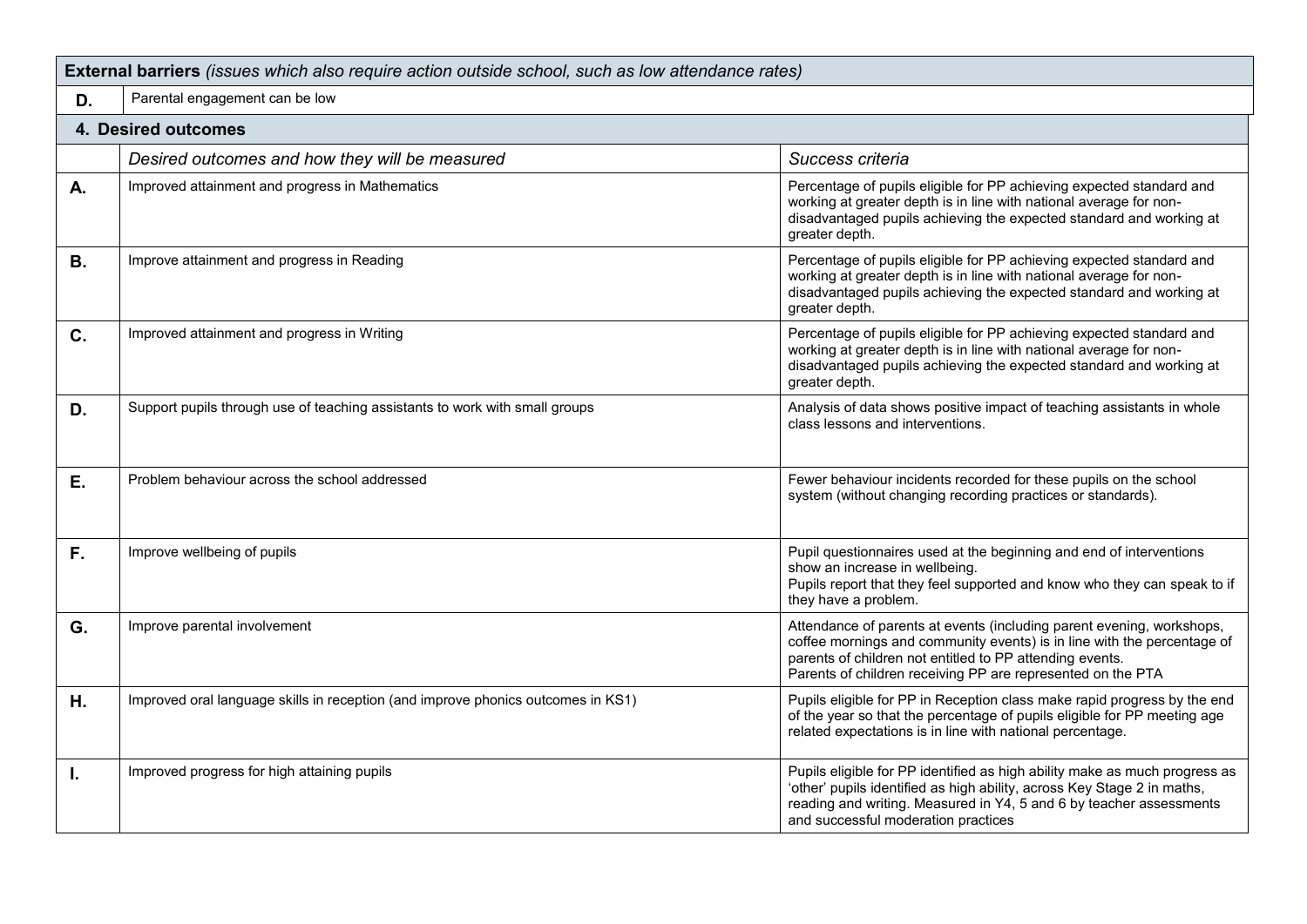| External barriers (issues which also require action outside school, such as low attendance rates) |                                                                                  |                                                                                                                                                                                                                                                                             |  |  |  |
|---------------------------------------------------------------------------------------------------|----------------------------------------------------------------------------------|-----------------------------------------------------------------------------------------------------------------------------------------------------------------------------------------------------------------------------------------------------------------------------|--|--|--|
| D.                                                                                                | Parental engagement can be low                                                   |                                                                                                                                                                                                                                                                             |  |  |  |
|                                                                                                   | 4. Desired outcomes                                                              |                                                                                                                                                                                                                                                                             |  |  |  |
|                                                                                                   | Desired outcomes and how they will be measured                                   | Success criteria                                                                                                                                                                                                                                                            |  |  |  |
| А.                                                                                                | Improved attainment and progress in Mathematics                                  | Percentage of pupils eligible for PP achieving expected standard and<br>working at greater depth is in line with national average for non-<br>disadvantaged pupils achieving the expected standard and working at<br>greater depth.                                         |  |  |  |
| <b>B.</b>                                                                                         | Improve attainment and progress in Reading                                       | Percentage of pupils eligible for PP achieving expected standard and<br>working at greater depth is in line with national average for non-<br>disadvantaged pupils achieving the expected standard and working at<br>greater depth.                                         |  |  |  |
| C.                                                                                                | Improved attainment and progress in Writing                                      | Percentage of pupils eligible for PP achieving expected standard and<br>working at greater depth is in line with national average for non-<br>disadvantaged pupils achieving the expected standard and working at<br>greater depth.                                         |  |  |  |
| D.                                                                                                | Support pupils through use of teaching assistants to work with small groups      | Analysis of data shows positive impact of teaching assistants in whole<br>class lessons and interventions.                                                                                                                                                                  |  |  |  |
| Е.                                                                                                | Problem behaviour across the school addressed                                    | Fewer behaviour incidents recorded for these pupils on the school<br>system (without changing recording practices or standards).                                                                                                                                            |  |  |  |
| F.                                                                                                | Improve wellbeing of pupils                                                      | Pupil questionnaires used at the beginning and end of interventions<br>show an increase in wellbeing.<br>Pupils report that they feel supported and know who they can speak to if<br>they have a problem.                                                                   |  |  |  |
| G.                                                                                                | Improve parental involvement                                                     | Attendance of parents at events (including parent evening, workshops,<br>coffee mornings and community events) is in line with the percentage of<br>parents of children not entitled to PP attending events.<br>Parents of children receiving PP are represented on the PTA |  |  |  |
| H.                                                                                                | Improved oral language skills in reception (and improve phonics outcomes in KS1) | Pupils eligible for PP in Reception class make rapid progress by the end<br>of the year so that the percentage of pupils eligible for PP meeting age<br>related expectations is in line with national percentage.                                                           |  |  |  |
| I.                                                                                                | Improved progress for high attaining pupils                                      | Pupils eligible for PP identified as high ability make as much progress as<br>'other' pupils identified as high ability, across Key Stage 2 in maths,<br>reading and writing. Measured in Y4, 5 and 6 by teacher assessments<br>and successful moderation practices         |  |  |  |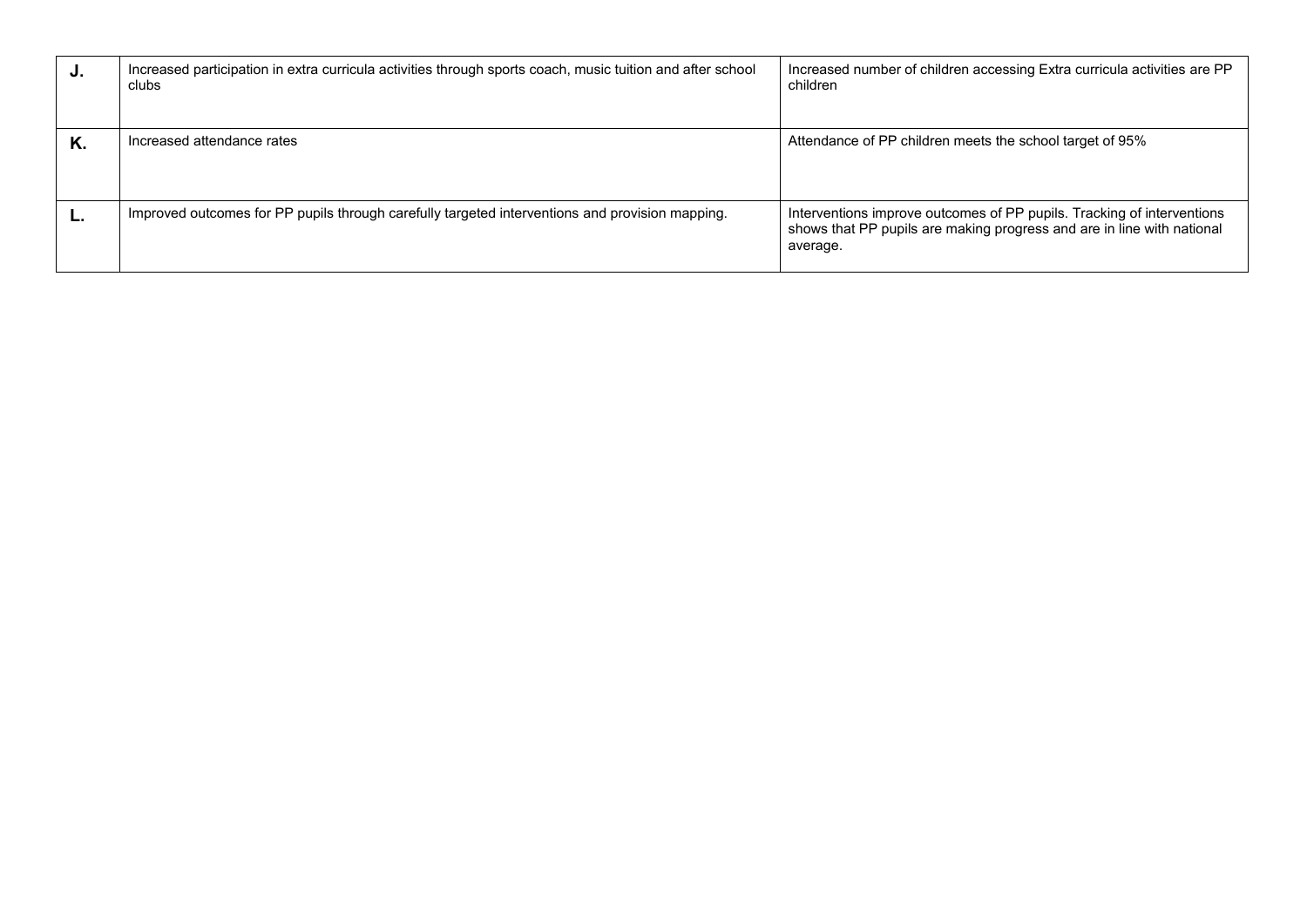| J. | Increased participation in extra curricula activities through sports coach, music tuition and after school<br>clubs | Increased number of children accessing Extra curricula activities are PP<br>children                                                                         |
|----|---------------------------------------------------------------------------------------------------------------------|--------------------------------------------------------------------------------------------------------------------------------------------------------------|
| Κ. | Increased attendance rates                                                                                          | Attendance of PP children meets the school target of 95%                                                                                                     |
|    | Improved outcomes for PP pupils through carefully targeted interventions and provision mapping.                     | Interventions improve outcomes of PP pupils. Tracking of interventions<br>shows that PP pupils are making progress and are in line with national<br>average. |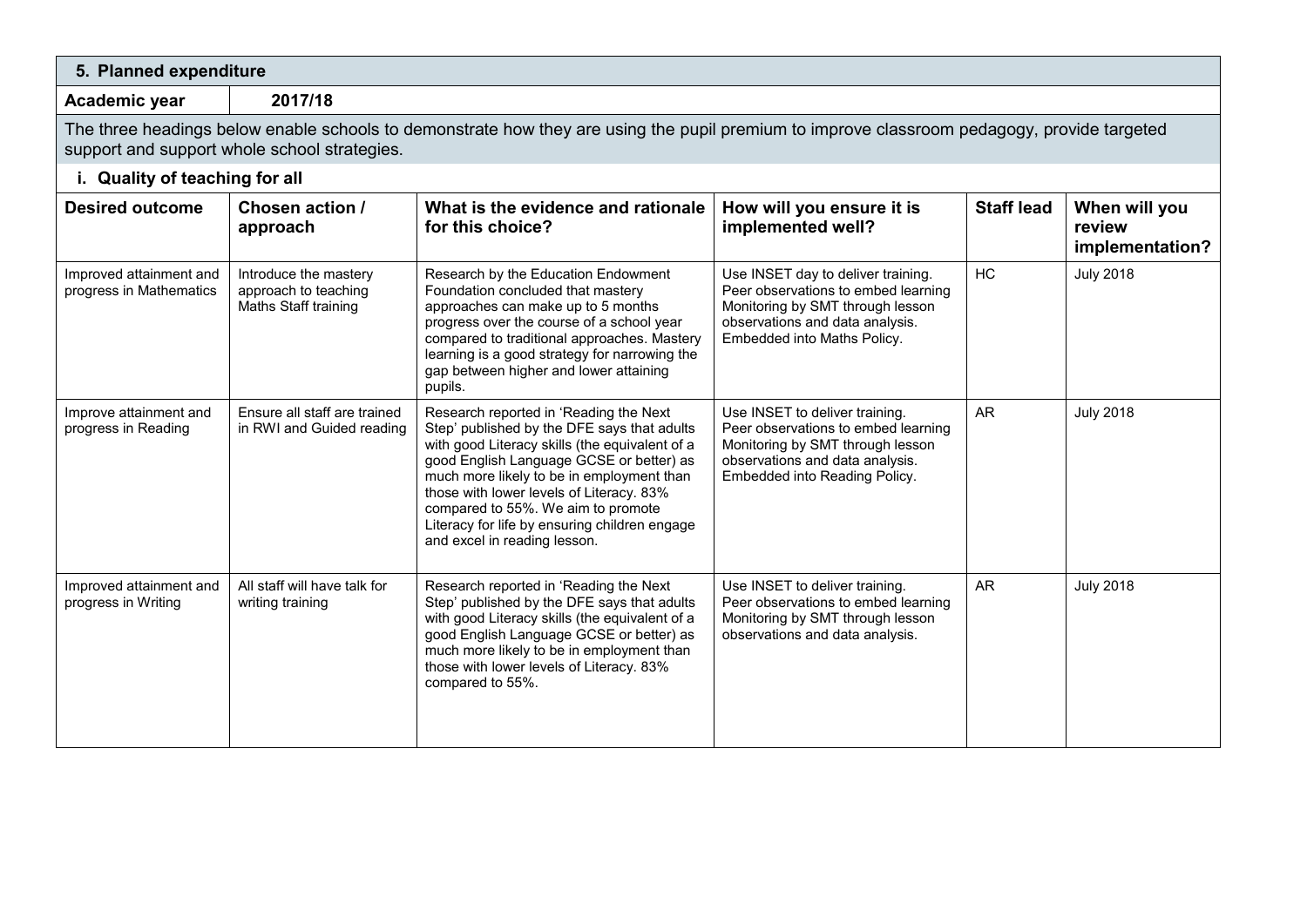| 5. Planned expenditure                             |                                                                       |                                                                                                                                                                                                                                                                                                                                                                                                     |                                                                                                                                                                                 |                   |                                            |
|----------------------------------------------------|-----------------------------------------------------------------------|-----------------------------------------------------------------------------------------------------------------------------------------------------------------------------------------------------------------------------------------------------------------------------------------------------------------------------------------------------------------------------------------------------|---------------------------------------------------------------------------------------------------------------------------------------------------------------------------------|-------------------|--------------------------------------------|
| Academic year                                      | 2017/18                                                               |                                                                                                                                                                                                                                                                                                                                                                                                     |                                                                                                                                                                                 |                   |                                            |
|                                                    | support and support whole school strategies.                          | The three headings below enable schools to demonstrate how they are using the pupil premium to improve classroom pedagogy, provide targeted                                                                                                                                                                                                                                                         |                                                                                                                                                                                 |                   |                                            |
| i. Quality of teaching for all                     |                                                                       |                                                                                                                                                                                                                                                                                                                                                                                                     |                                                                                                                                                                                 |                   |                                            |
| <b>Desired outcome</b>                             | Chosen action /<br>approach                                           | What is the evidence and rationale<br>for this choice?                                                                                                                                                                                                                                                                                                                                              | How will you ensure it is<br>implemented well?                                                                                                                                  | <b>Staff lead</b> | When will you<br>review<br>implementation? |
| Improved attainment and<br>progress in Mathematics | Introduce the mastery<br>approach to teaching<br>Maths Staff training | Research by the Education Endowment<br>Foundation concluded that mastery<br>approaches can make up to 5 months<br>progress over the course of a school year<br>compared to traditional approaches. Mastery<br>learning is a good strategy for narrowing the<br>gap between higher and lower attaining<br>pupils.                                                                                    | Use INSET day to deliver training.<br>Peer observations to embed learning<br>Monitoring by SMT through lesson<br>observations and data analysis.<br>Embedded into Maths Policy. | <b>HC</b>         | <b>July 2018</b>                           |
| Improve attainment and<br>progress in Reading      | Ensure all staff are trained<br>in RWI and Guided reading             | Research reported in 'Reading the Next<br>Step' published by the DFE says that adults<br>with good Literacy skills (the equivalent of a<br>good English Language GCSE or better) as<br>much more likely to be in employment than<br>those with lower levels of Literacy. 83%<br>compared to 55%. We aim to promote<br>Literacy for life by ensuring children engage<br>and excel in reading lesson. | Use INSET to deliver training.<br>Peer observations to embed learning<br>Monitoring by SMT through lesson<br>observations and data analysis.<br>Embedded into Reading Policy.   | <b>AR</b>         | <b>July 2018</b>                           |
| Improved attainment and<br>progress in Writing     | All staff will have talk for<br>writing training                      | Research reported in 'Reading the Next<br>Step' published by the DFE says that adults<br>with good Literacy skills (the equivalent of a<br>good English Language GCSE or better) as<br>much more likely to be in employment than<br>those with lower levels of Literacy. 83%<br>compared to 55%.                                                                                                    | Use INSET to deliver training.<br>Peer observations to embed learning<br>Monitoring by SMT through lesson<br>observations and data analysis.                                    | <b>AR</b>         | <b>July 2018</b>                           |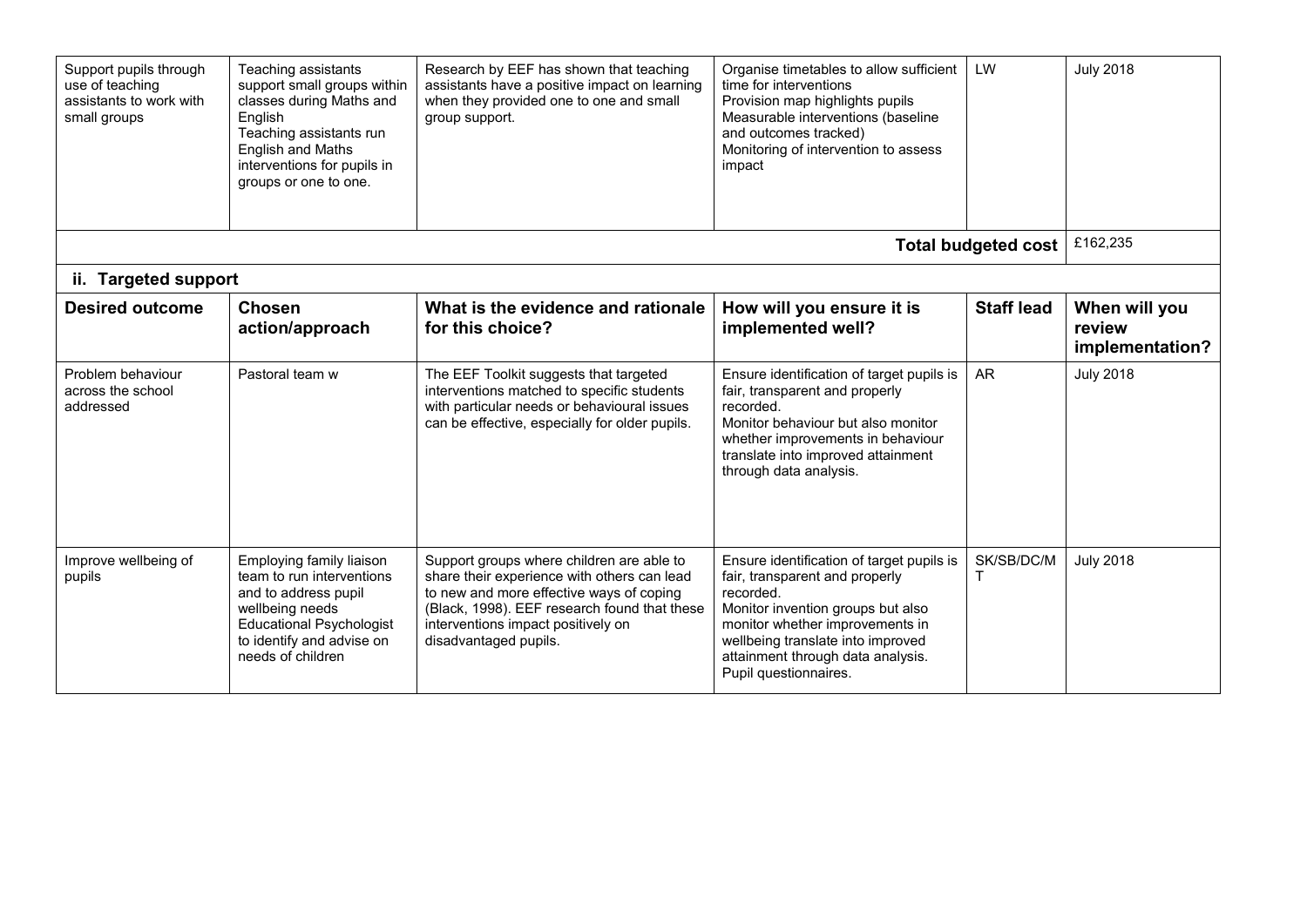| Support pupils through<br>use of teaching<br>assistants to work with<br>small groups | Teaching assistants<br>support small groups within<br>classes during Maths and<br>English<br>Teaching assistants run<br><b>English and Maths</b><br>interventions for pupils in<br>groups or one to one. | Research by EEF has shown that teaching<br>assistants have a positive impact on learning<br>when they provided one to one and small<br>group support.                                                                                               | Organise timetables to allow sufficient<br>time for interventions<br>Provision map highlights pupils<br>Measurable interventions (baseline<br>and outcomes tracked)<br>Monitoring of intervention to assess<br>impact                                               | LW                         | <b>July 2018</b>                           |
|--------------------------------------------------------------------------------------|----------------------------------------------------------------------------------------------------------------------------------------------------------------------------------------------------------|-----------------------------------------------------------------------------------------------------------------------------------------------------------------------------------------------------------------------------------------------------|---------------------------------------------------------------------------------------------------------------------------------------------------------------------------------------------------------------------------------------------------------------------|----------------------------|--------------------------------------------|
|                                                                                      |                                                                                                                                                                                                          |                                                                                                                                                                                                                                                     |                                                                                                                                                                                                                                                                     | <b>Total budgeted cost</b> | £162,235                                   |
| ii. Targeted support                                                                 |                                                                                                                                                                                                          |                                                                                                                                                                                                                                                     |                                                                                                                                                                                                                                                                     |                            |                                            |
| <b>Desired outcome</b>                                                               | <b>Chosen</b><br>action/approach                                                                                                                                                                         | What is the evidence and rationale<br>for this choice?                                                                                                                                                                                              | How will you ensure it is<br>implemented well?                                                                                                                                                                                                                      | <b>Staff lead</b>          | When will you<br>review<br>implementation? |
| Problem behaviour<br>across the school<br>addressed                                  | Pastoral team w                                                                                                                                                                                          | The EEF Toolkit suggests that targeted<br>interventions matched to specific students<br>with particular needs or behavioural issues<br>can be effective, especially for older pupils.                                                               | Ensure identification of target pupils is<br>fair, transparent and properly<br>recorded.<br>Monitor behaviour but also monitor<br>whether improvements in behaviour<br>translate into improved attainment<br>through data analysis.                                 | <b>AR</b>                  | <b>July 2018</b>                           |
| Improve wellbeing of<br>pupils                                                       | Employing family liaison<br>team to run interventions<br>and to address pupil<br>wellbeing needs<br><b>Educational Psychologist</b><br>to identify and advise on<br>needs of children                    | Support groups where children are able to<br>share their experience with others can lead<br>to new and more effective ways of coping<br>(Black, 1998). EEF research found that these<br>interventions impact positively on<br>disadvantaged pupils. | Ensure identification of target pupils is<br>fair, transparent and properly<br>recorded.<br>Monitor invention groups but also<br>monitor whether improvements in<br>wellbeing translate into improved<br>attainment through data analysis.<br>Pupil questionnaires. | SK/SB/DC/M                 | <b>July 2018</b>                           |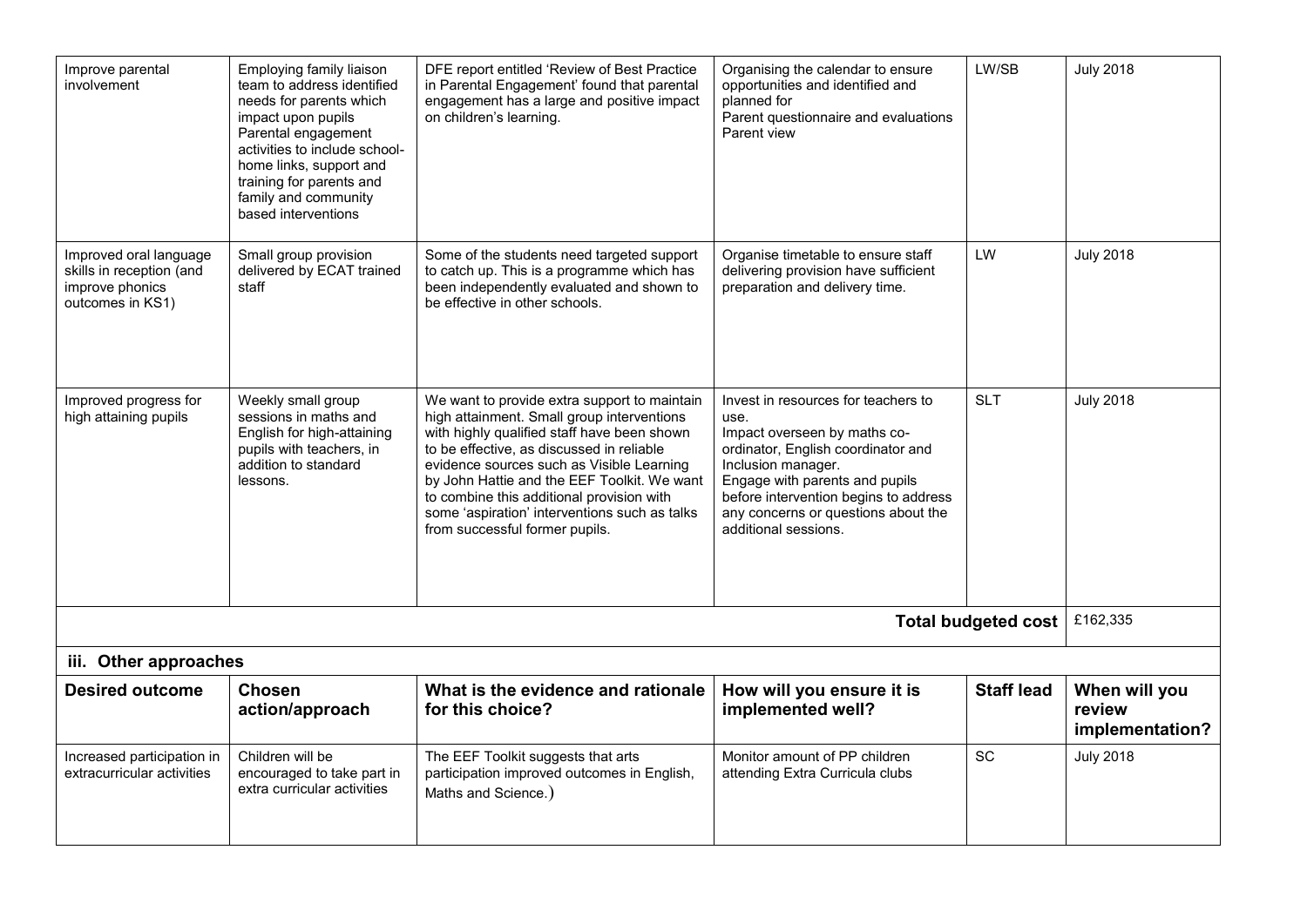| Improve parental<br>involvement                                                           | Employing family liaison<br>team to address identified<br>needs for parents which<br>impact upon pupils<br>Parental engagement<br>activities to include school-<br>home links, support and<br>training for parents and<br>family and community<br>based interventions | DFE report entitled 'Review of Best Practice<br>in Parental Engagement' found that parental<br>engagement has a large and positive impact<br>on children's learning.                                                                                                                                                                                                                                               | Organising the calendar to ensure<br>opportunities and identified and<br>planned for<br>Parent questionnaire and evaluations<br>Parent view                                                                                                                                       | LW/SB               | <b>July 2018</b>                           |
|-------------------------------------------------------------------------------------------|-----------------------------------------------------------------------------------------------------------------------------------------------------------------------------------------------------------------------------------------------------------------------|--------------------------------------------------------------------------------------------------------------------------------------------------------------------------------------------------------------------------------------------------------------------------------------------------------------------------------------------------------------------------------------------------------------------|-----------------------------------------------------------------------------------------------------------------------------------------------------------------------------------------------------------------------------------------------------------------------------------|---------------------|--------------------------------------------|
| Improved oral language<br>skills in reception (and<br>improve phonics<br>outcomes in KS1) | Small group provision<br>delivered by ECAT trained<br>staff                                                                                                                                                                                                           | Some of the students need targeted support<br>to catch up. This is a programme which has<br>been independently evaluated and shown to<br>be effective in other schools.                                                                                                                                                                                                                                            | Organise timetable to ensure staff<br>delivering provision have sufficient<br>preparation and delivery time.                                                                                                                                                                      | LW                  | <b>July 2018</b>                           |
| Improved progress for<br>high attaining pupils                                            | Weekly small group<br>sessions in maths and<br>English for high-attaining<br>pupils with teachers, in<br>addition to standard<br>lessons.                                                                                                                             | We want to provide extra support to maintain<br>high attainment. Small group interventions<br>with highly qualified staff have been shown<br>to be effective, as discussed in reliable<br>evidence sources such as Visible Learning<br>by John Hattie and the EEF Toolkit. We want<br>to combine this additional provision with<br>some 'aspiration' interventions such as talks<br>from successful former pupils. | Invest in resources for teachers to<br>use.<br>Impact overseen by maths co-<br>ordinator, English coordinator and<br>Inclusion manager.<br>Engage with parents and pupils<br>before intervention begins to address<br>any concerns or questions about the<br>additional sessions. | <b>SLT</b>          | <b>July 2018</b>                           |
|                                                                                           |                                                                                                                                                                                                                                                                       |                                                                                                                                                                                                                                                                                                                                                                                                                    |                                                                                                                                                                                                                                                                                   | Total budgeted cost | £162,335                                   |
| iii. Other approaches                                                                     |                                                                                                                                                                                                                                                                       |                                                                                                                                                                                                                                                                                                                                                                                                                    |                                                                                                                                                                                                                                                                                   |                     |                                            |
| <b>Desired outcome</b>                                                                    | <b>Chosen</b><br>action/approach                                                                                                                                                                                                                                      | What is the evidence and rationale<br>for this choice?                                                                                                                                                                                                                                                                                                                                                             | How will you ensure it is<br>implemented well?                                                                                                                                                                                                                                    | <b>Staff lead</b>   | When will you<br>review<br>implementation? |
| Increased participation in<br>extracurricular activities                                  | Children will be<br>encouraged to take part in<br>extra curricular activities                                                                                                                                                                                         | The EEF Toolkit suggests that arts<br>participation improved outcomes in English,<br>Maths and Science.)                                                                                                                                                                                                                                                                                                           | Monitor amount of PP children<br>attending Extra Curricula clubs                                                                                                                                                                                                                  | SC                  | <b>July 2018</b>                           |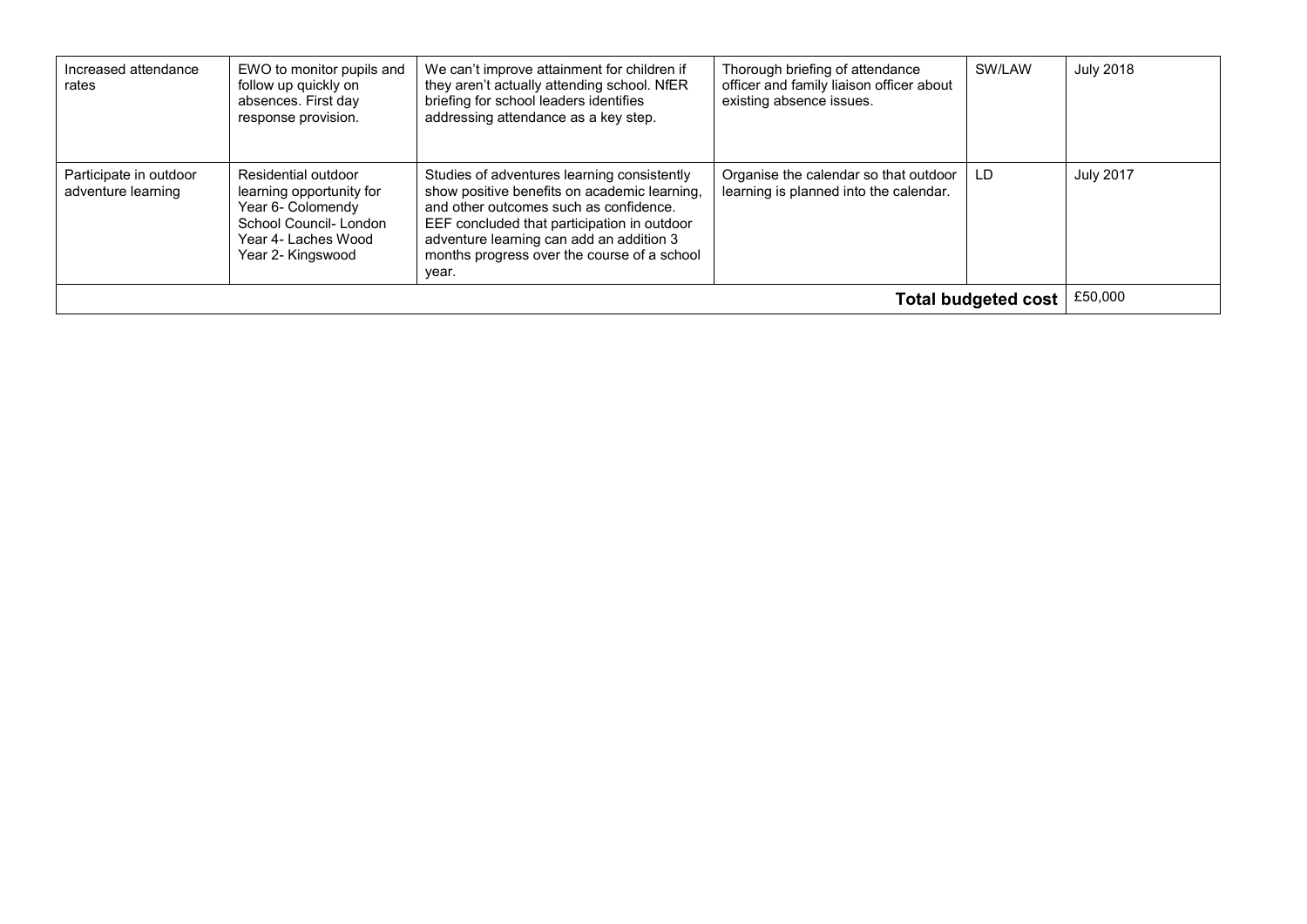| Increased attendance<br>rates                | EWO to monitor pupils and<br>follow up quickly on<br>absences. First day<br>response provision.                                           | We can't improve attainment for children if<br>they aren't actually attending school. NfER<br>briefing for school leaders identifies<br>addressing attendance as a key step.                                                                                                             | Thorough briefing of attendance<br>officer and family liaison officer about<br>existing absence issues. | SW/LAW | <b>July 2018</b> |
|----------------------------------------------|-------------------------------------------------------------------------------------------------------------------------------------------|------------------------------------------------------------------------------------------------------------------------------------------------------------------------------------------------------------------------------------------------------------------------------------------|---------------------------------------------------------------------------------------------------------|--------|------------------|
| Participate in outdoor<br>adventure learning | Residential outdoor<br>learning opportunity for<br>Year 6- Colomendy<br>School Council-London<br>Year 4- Laches Wood<br>Year 2- Kingswood | Studies of adventures learning consistently<br>show positive benefits on academic learning,<br>and other outcomes such as confidence.<br>EEF concluded that participation in outdoor<br>adventure learning can add an addition 3<br>months progress over the course of a school<br>year. | Organise the calendar so that outdoor<br>learning is planned into the calendar.                         | LD     | <b>July 2017</b> |
| Total budgeted cost                          |                                                                                                                                           |                                                                                                                                                                                                                                                                                          |                                                                                                         |        | £50,000          |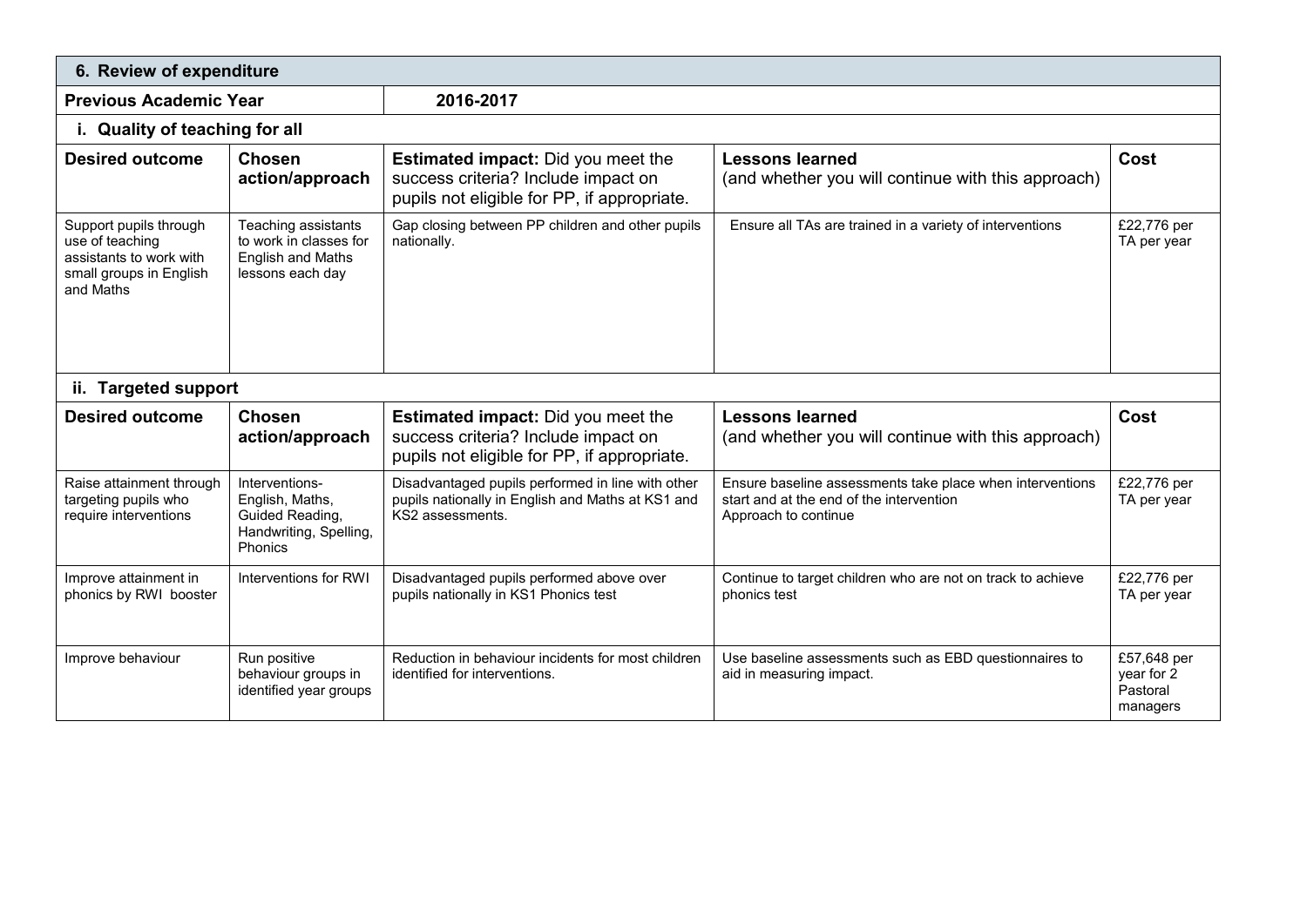| 6. Review of expenditure                                                                                     |                                                                                               |                                                                                                                                 |                                                                                                                               |                                                   |  |  |
|--------------------------------------------------------------------------------------------------------------|-----------------------------------------------------------------------------------------------|---------------------------------------------------------------------------------------------------------------------------------|-------------------------------------------------------------------------------------------------------------------------------|---------------------------------------------------|--|--|
| <b>Previous Academic Year</b>                                                                                |                                                                                               | 2016-2017                                                                                                                       |                                                                                                                               |                                                   |  |  |
| i. Quality of teaching for all                                                                               |                                                                                               |                                                                                                                                 |                                                                                                                               |                                                   |  |  |
| <b>Desired outcome</b>                                                                                       | <b>Chosen</b><br>action/approach                                                              | <b>Estimated impact:</b> Did you meet the<br>success criteria? Include impact on<br>pupils not eligible for PP, if appropriate. | <b>Lessons learned</b><br>(and whether you will continue with this approach)                                                  | Cost                                              |  |  |
| Support pupils through<br>use of teaching<br>assistants to work with<br>small groups in English<br>and Maths | Teaching assistants<br>to work in classes for<br><b>English and Maths</b><br>lessons each day | Gap closing between PP children and other pupils<br>nationally.                                                                 | Ensure all TAs are trained in a variety of interventions                                                                      | £22,776 per<br>TA per year                        |  |  |
| ii. Targeted support                                                                                         |                                                                                               |                                                                                                                                 |                                                                                                                               |                                                   |  |  |
| <b>Desired outcome</b>                                                                                       | <b>Chosen</b><br>action/approach                                                              | <b>Estimated impact:</b> Did you meet the<br>success criteria? Include impact on<br>pupils not eligible for PP, if appropriate. | <b>Lessons learned</b><br>(and whether you will continue with this approach)                                                  | Cost                                              |  |  |
| Raise attainment through<br>targeting pupils who<br>require interventions                                    | Interventions-<br>English, Maths,<br>Guided Reading,<br>Handwriting, Spelling,<br>Phonics     | Disadvantaged pupils performed in line with other<br>pupils nationally in English and Maths at KS1 and<br>KS2 assessments.      | Ensure baseline assessments take place when interventions<br>start and at the end of the intervention<br>Approach to continue | £22,776 per<br>TA per year                        |  |  |
| Improve attainment in<br>phonics by RWI booster                                                              | Interventions for RWI                                                                         | Disadvantaged pupils performed above over<br>pupils nationally in KS1 Phonics test                                              | Continue to target children who are not on track to achieve<br>phonics test                                                   | £22,776 per<br>TA per year                        |  |  |
| Improve behaviour                                                                                            | Run positive<br>behaviour groups in<br>identified year groups                                 | Reduction in behaviour incidents for most children<br>identified for interventions.                                             | Use baseline assessments such as EBD questionnaires to<br>aid in measuring impact.                                            | £57,648 per<br>year for 2<br>Pastoral<br>managers |  |  |